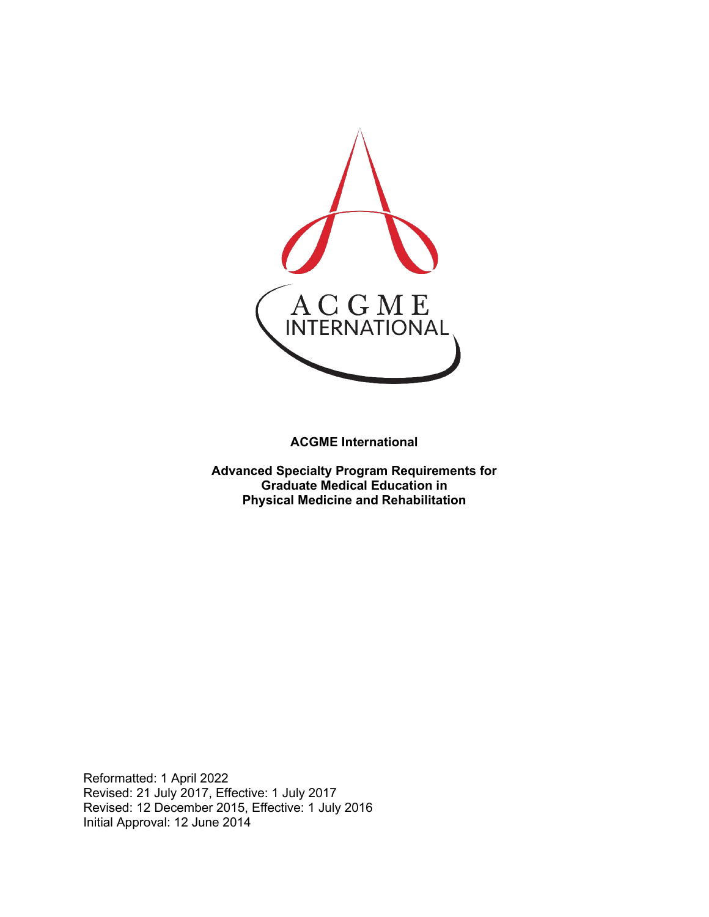

**ACGME International**

**Advanced Specialty Program Requirements for Graduate Medical Education in Physical Medicine and Rehabilitation**

Reformatted: 1 April 2022 Revised: 21 July 2017, Effective: 1 July 2017 Revised: 12 December 2015, Effective: 1 July 2016 Initial Approval: 12 June 2014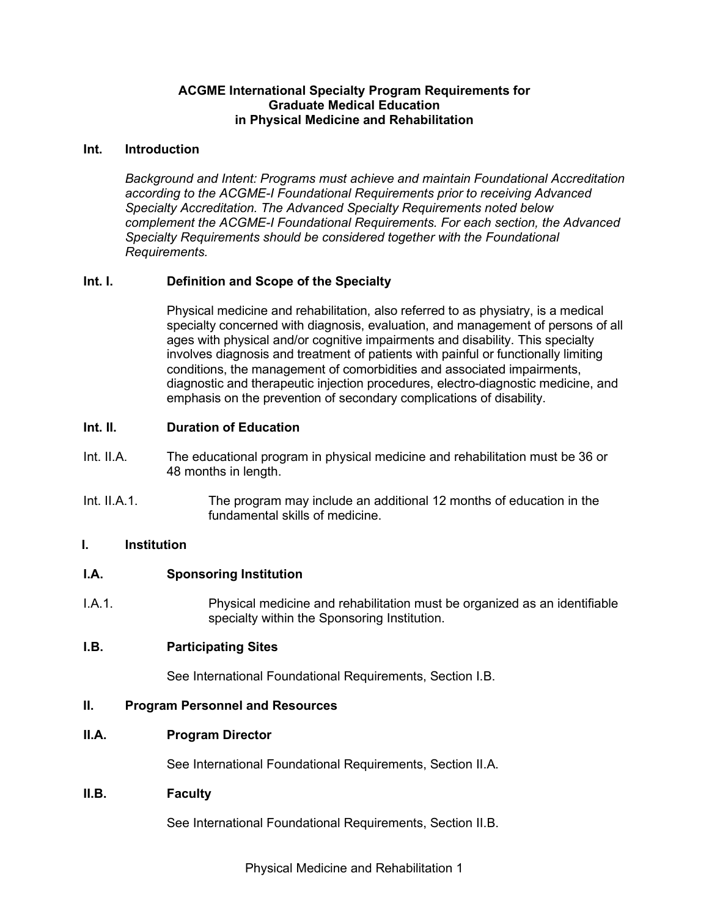#### **ACGME International Specialty Program Requirements for Graduate Medical Education in Physical Medicine and Rehabilitation**

#### **Int. Introduction**

*Background and Intent: Programs must achieve and maintain Foundational Accreditation according to the ACGME-I Foundational Requirements prior to receiving Advanced Specialty Accreditation. The Advanced Specialty Requirements noted below complement the ACGME-I Foundational Requirements. For each section, the Advanced Specialty Requirements should be considered together with the Foundational Requirements.*

### **Int. I. Definition and Scope of the Specialty**

Physical medicine and rehabilitation, also referred to as physiatry, is a medical specialty concerned with diagnosis, evaluation, and management of persons of all ages with physical and/or cognitive impairments and disability. This specialty involves diagnosis and treatment of patients with painful or functionally limiting conditions, the management of comorbidities and associated impairments, diagnostic and therapeutic injection procedures, electro-diagnostic medicine, and emphasis on the prevention of secondary complications of disability.

#### **Int. II. Duration of Education**

- Int. II.A. The educational program in physical medicine and rehabilitation must be 36 or 48 months in length.
- Int. II.A.1. The program may include an additional 12 months of education in the fundamental skills of medicine.

### **I. Institution**

#### **I.A. Sponsoring Institution**

I.A.1. Physical medicine and rehabilitation must be organized as an identifiable specialty within the Sponsoring Institution.

### **I.B. Participating Sites**

See International Foundational Requirements, Section I.B.

#### **II. Program Personnel and Resources**

### **II.A. Program Director**

See International Foundational Requirements, Section II.A.

#### **II.B. Faculty**

See International Foundational Requirements, Section II.B.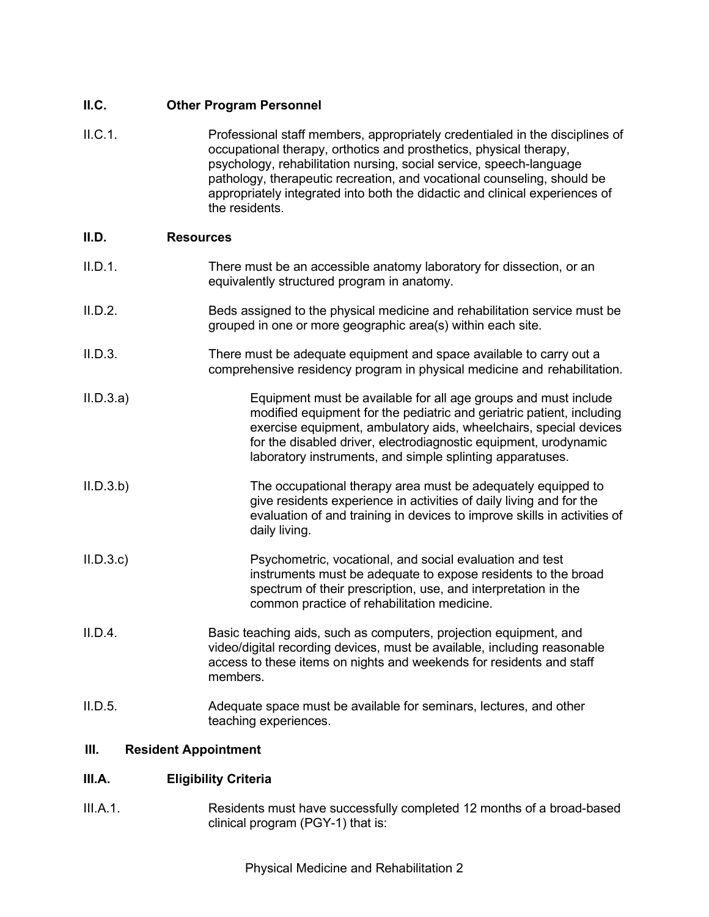### **II.C. Other Program Personnel**

II.C.1. Professional staff members, appropriately credentialed in the disciplines of occupational therapy, orthotics and prosthetics, physical therapy, psychology, rehabilitation nursing, social service, speech-language pathology, therapeutic recreation, and vocational counseling, should be appropriately integrated into both the didactic and clinical experiences of the residents.

### **II.D. Resources**

- II.D.1. There must be an accessible anatomy laboratory for dissection, or an equivalently structured program in anatomy.
- II.D.2. Beds assigned to the physical medicine and rehabilitation service must be grouped in one or more geographic area(s) within each site.
- II.D.3. There must be adequate equipment and space available to carry out a comprehensive residency program in physical medicine and rehabilitation.
- II.D.3.a) Equipment must be available for all age groups and must include modified equipment for the pediatric and geriatric patient, including exercise equipment, ambulatory aids, wheelchairs, special devices for the disabled driver, electrodiagnostic equipment, urodynamic laboratory instruments, and simple splinting apparatuses.
- II.D.3.b) The occupational therapy area must be adequately equipped to give residents experience in activities of daily living and for the evaluation of and training in devices to improve skills in activities of daily living.
- II.D.3.c) Psychometric, vocational, and social evaluation and test instruments must be adequate to expose residents to the broad spectrum of their prescription, use, and interpretation in the common practice of rehabilitation medicine.
- II.D.4. Basic teaching aids, such as computers, projection equipment, and video/digital recording devices, must be available, including reasonable access to these items on nights and weekends for residents and staff members.
- II.D.5. Adequate space must be available for seminars, lectures, and other teaching experiences.

### **III. Resident Appointment**

### **III.A. Eligibility Criteria**

III.A.1. Residents must have successfully completed 12 months of a broad-based clinical program (PGY-1) that is: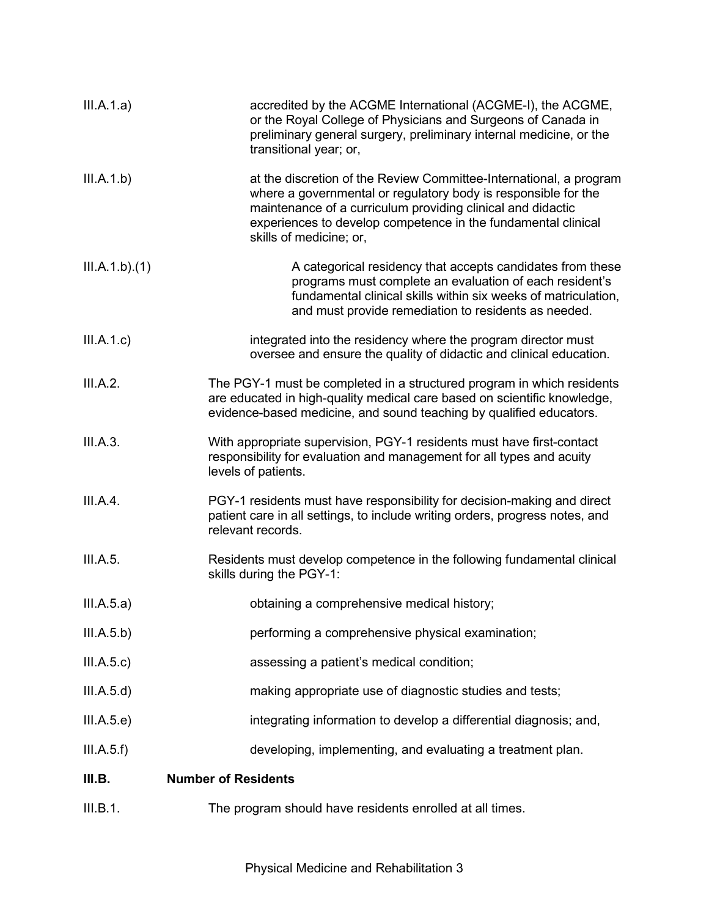| III.A.1.a)    | accredited by the ACGME International (ACGME-I), the ACGME,<br>or the Royal College of Physicians and Surgeons of Canada in<br>preliminary general surgery, preliminary internal medicine, or the<br>transitional year; or,                                                                     |
|---------------|-------------------------------------------------------------------------------------------------------------------------------------------------------------------------------------------------------------------------------------------------------------------------------------------------|
| III.A.1.b)    | at the discretion of the Review Committee-International, a program<br>where a governmental or regulatory body is responsible for the<br>maintenance of a curriculum providing clinical and didactic<br>experiences to develop competence in the fundamental clinical<br>skills of medicine; or, |
| III.A.1.b)(1) | A categorical residency that accepts candidates from these<br>programs must complete an evaluation of each resident's<br>fundamental clinical skills within six weeks of matriculation,<br>and must provide remediation to residents as needed.                                                 |
| III.A.1.c)    | integrated into the residency where the program director must<br>oversee and ensure the quality of didactic and clinical education.                                                                                                                                                             |
| III.A.2.      | The PGY-1 must be completed in a structured program in which residents<br>are educated in high-quality medical care based on scientific knowledge,<br>evidence-based medicine, and sound teaching by qualified educators.                                                                       |
| III.A.3.      | With appropriate supervision, PGY-1 residents must have first-contact<br>responsibility for evaluation and management for all types and acuity<br>levels of patients.                                                                                                                           |
| III.A.4.      | PGY-1 residents must have responsibility for decision-making and direct<br>patient care in all settings, to include writing orders, progress notes, and<br>relevant records.                                                                                                                    |
| III.A.5.      | Residents must develop competence in the following fundamental clinical<br>skills during the PGY-1:                                                                                                                                                                                             |
| III.A.5.a)    | obtaining a comprehensive medical history;                                                                                                                                                                                                                                                      |
| III.A.5.b)    | performing a comprehensive physical examination;                                                                                                                                                                                                                                                |
| III.A.5.c)    | assessing a patient's medical condition;                                                                                                                                                                                                                                                        |
| III.A.5.d)    | making appropriate use of diagnostic studies and tests;                                                                                                                                                                                                                                         |
| III.A.5.e)    | integrating information to develop a differential diagnosis; and,                                                                                                                                                                                                                               |
| III.A.5.f)    | developing, implementing, and evaluating a treatment plan.                                                                                                                                                                                                                                      |
| III.B.        | <b>Number of Residents</b>                                                                                                                                                                                                                                                                      |
| III.B.1.      | The program should have residents enrolled at all times.                                                                                                                                                                                                                                        |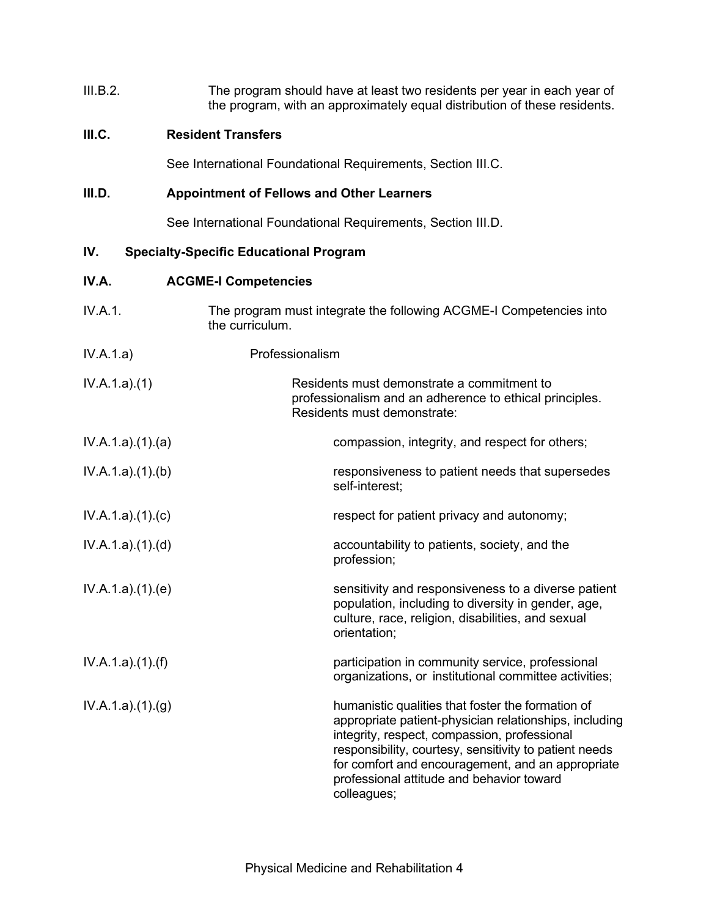| III.B.2. | The program should have at least two residents per year in each year of   |
|----------|---------------------------------------------------------------------------|
|          | the program, with an approximately equal distribution of these residents. |

## **III.C. Resident Transfers**

See International Foundational Requirements, Section III.C.

# **III.D. Appointment of Fellows and Other Learners**

See International Foundational Requirements, Section III.D.

# **IV. Specialty-Specific Educational Program**

## **IV.A. ACGME-I Competencies**

| IV.A.1.         | The program must integrate the following ACGME-I Competencies into<br>the curriculum.                                                                                                                                                                                                                                                  |
|-----------------|----------------------------------------------------------------------------------------------------------------------------------------------------------------------------------------------------------------------------------------------------------------------------------------------------------------------------------------|
| IV.A.1.a)       | Professionalism                                                                                                                                                                                                                                                                                                                        |
| IV.A.1.a)(1)    | Residents must demonstrate a commitment to<br>professionalism and an adherence to ethical principles.<br>Residents must demonstrate:                                                                                                                                                                                                   |
| IV.A.1.a)(1)(a) | compassion, integrity, and respect for others;                                                                                                                                                                                                                                                                                         |
| IV.A.1.a)(1)(b) | responsiveness to patient needs that supersedes<br>self-interest;                                                                                                                                                                                                                                                                      |
| IV.A.1.a)(1)(c) | respect for patient privacy and autonomy;                                                                                                                                                                                                                                                                                              |
| IV.A.1.a)(1)(d) | accountability to patients, society, and the<br>profession;                                                                                                                                                                                                                                                                            |
| IV.A.1.a)(1)(e) | sensitivity and responsiveness to a diverse patient<br>population, including to diversity in gender, age,<br>culture, race, religion, disabilities, and sexual<br>orientation;                                                                                                                                                         |
| IV.A.1.a)(1)(f) | participation in community service, professional<br>organizations, or institutional committee activities;                                                                                                                                                                                                                              |
| IV.A.1.a)(1)(g) | humanistic qualities that foster the formation of<br>appropriate patient-physician relationships, including<br>integrity, respect, compassion, professional<br>responsibility, courtesy, sensitivity to patient needs<br>for comfort and encouragement, and an appropriate<br>professional attitude and behavior toward<br>colleagues; |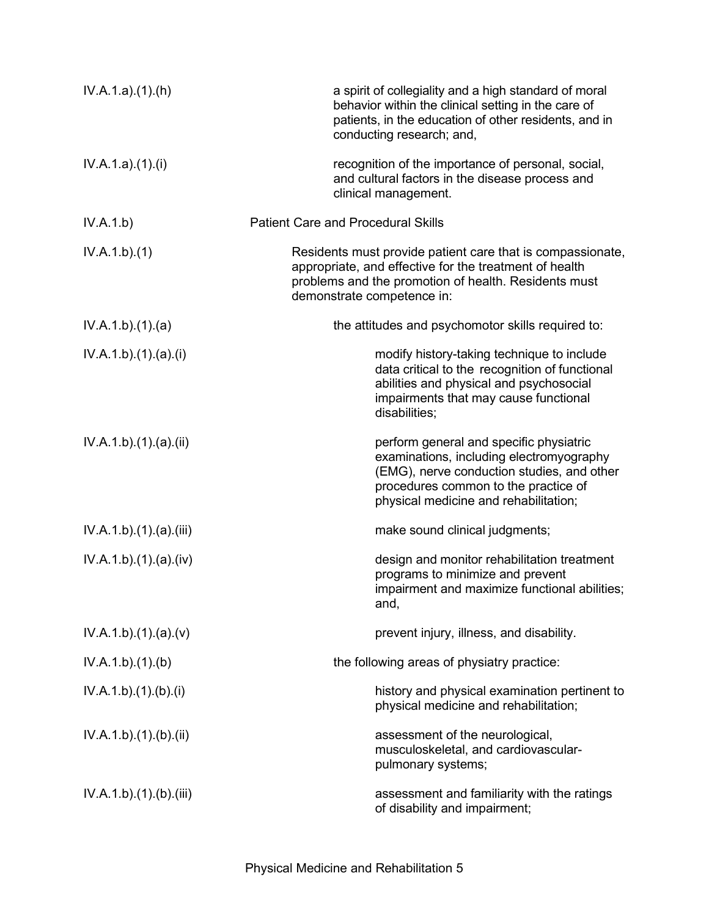| IV.A.1.a)(1)(h)      | a spirit of collegiality and a high standard of moral<br>behavior within the clinical setting in the care of<br>patients, in the education of other residents, and in<br>conducting research; and,                 |
|----------------------|--------------------------------------------------------------------------------------------------------------------------------------------------------------------------------------------------------------------|
| IV.A.1.a)(1)(i)      | recognition of the importance of personal, social,<br>and cultural factors in the disease process and<br>clinical management.                                                                                      |
| IV.A.1.b)            | <b>Patient Care and Procedural Skills</b>                                                                                                                                                                          |
| IV.A.1.b)(1)         | Residents must provide patient care that is compassionate,<br>appropriate, and effective for the treatment of health<br>problems and the promotion of health. Residents must<br>demonstrate competence in:         |
| IV.A.1.b)(1)(a)      | the attitudes and psychomotor skills required to:                                                                                                                                                                  |
| IV.A.1.b)(1)(a)(i)   | modify history-taking technique to include<br>data critical to the recognition of functional<br>abilities and physical and psychosocial<br>impairments that may cause functional<br>disabilities;                  |
| IV.A.1.b)(1)(a)(ii)  | perform general and specific physiatric<br>examinations, including electromyography<br>(EMG), nerve conduction studies, and other<br>procedures common to the practice of<br>physical medicine and rehabilitation; |
| IV.A.1.b)(1)(a)(iii) | make sound clinical judgments;                                                                                                                                                                                     |
| IV.A.1.b)(1)(a)(iv)  | design and monitor rehabilitation treatment<br>programs to minimize and prevent<br>impairment and maximize functional abilities;<br>and,                                                                           |
| IV.A.1.b)(1)(a)(v)   | prevent injury, illness, and disability.                                                                                                                                                                           |
| IV.A.1.b)(1)(b)      | the following areas of physiatry practice:                                                                                                                                                                         |
| IV.A.1.b)(1)(b)(i)   | history and physical examination pertinent to<br>physical medicine and rehabilitation;                                                                                                                             |
| IV.A.1.b)(1)(b)(ii)  | assessment of the neurological,<br>musculoskeletal, and cardiovascular-<br>pulmonary systems;                                                                                                                      |
| IV.A.1.b)(1)(b)(iii) | assessment and familiarity with the ratings<br>of disability and impairment;                                                                                                                                       |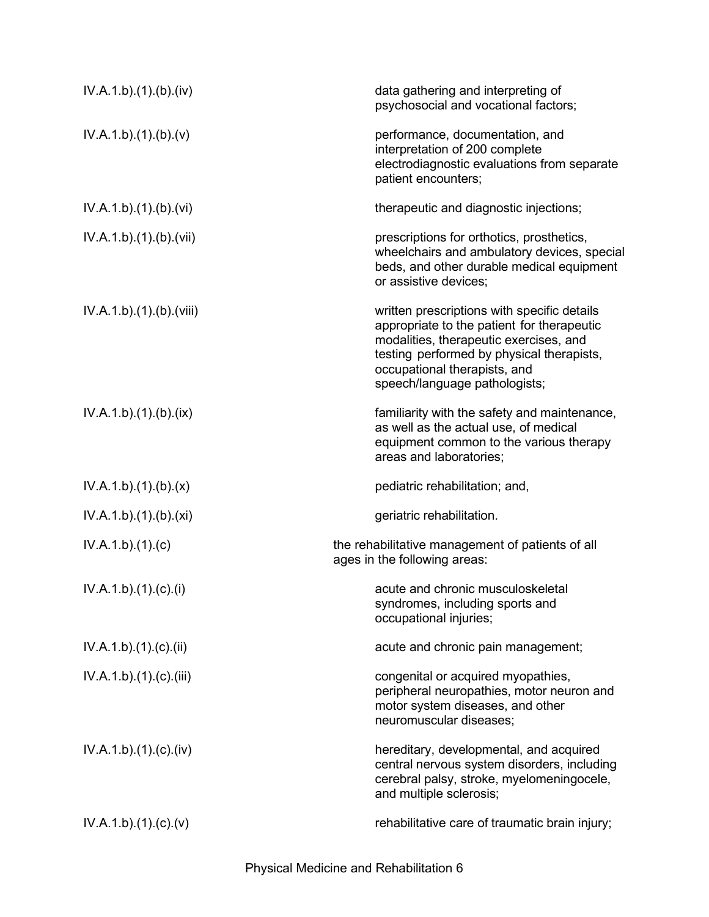| IV.A.1.b)(1)(b)(iv)     | data gathering and interpreting of<br>psychosocial and vocational factors;                                                                                                                                                                        |
|-------------------------|---------------------------------------------------------------------------------------------------------------------------------------------------------------------------------------------------------------------------------------------------|
| IV.A.1.b)(1)(b)(v)      | performance, documentation, and<br>interpretation of 200 complete<br>electrodiagnostic evaluations from separate<br>patient encounters;                                                                                                           |
| IV.A.1.b)(1)(b)(vi)     | therapeutic and diagnostic injections;                                                                                                                                                                                                            |
| IV.A.1.b).(1).(b).(vii) | prescriptions for orthotics, prosthetics,<br>wheelchairs and ambulatory devices, special<br>beds, and other durable medical equipment<br>or assistive devices;                                                                                    |
| IV.A.1.b)(1)(b)(viii)   | written prescriptions with specific details<br>appropriate to the patient for therapeutic<br>modalities, therapeutic exercises, and<br>testing performed by physical therapists,<br>occupational therapists, and<br>speech/language pathologists; |
| IV.A.1.b)(1)(b)(ix)     | familiarity with the safety and maintenance,<br>as well as the actual use, of medical<br>equipment common to the various therapy<br>areas and laboratories;                                                                                       |
| IV.A.1.b)(1)(b)(x)      | pediatric rehabilitation; and,                                                                                                                                                                                                                    |
| IV.A.1.b)(1)(b)(xi)     | geriatric rehabilitation.                                                                                                                                                                                                                         |
| IV.A.1.b)(1)(c)         | the rehabilitative management of patients of all<br>ages in the following areas:                                                                                                                                                                  |
| IV.A.1.b)(1)(c)(i)      | acute and chronic musculoskeletal<br>syndromes, including sports and<br>occupational injuries;                                                                                                                                                    |
| IV.A.1.b)(1)(c)(ii)     | acute and chronic pain management;                                                                                                                                                                                                                |
| IV.A.1.b).(1).(c).(iii) | congenital or acquired myopathies,<br>peripheral neuropathies, motor neuron and<br>motor system diseases, and other<br>neuromuscular diseases;                                                                                                    |
| IV.A.1.b)(1)(c)(iv)     | hereditary, developmental, and acquired<br>central nervous system disorders, including<br>cerebral palsy, stroke, myelomeningocele,<br>and multiple sclerosis;                                                                                    |
| IV.A.1.b)(1)(c)(v)      | rehabilitative care of traumatic brain injury;                                                                                                                                                                                                    |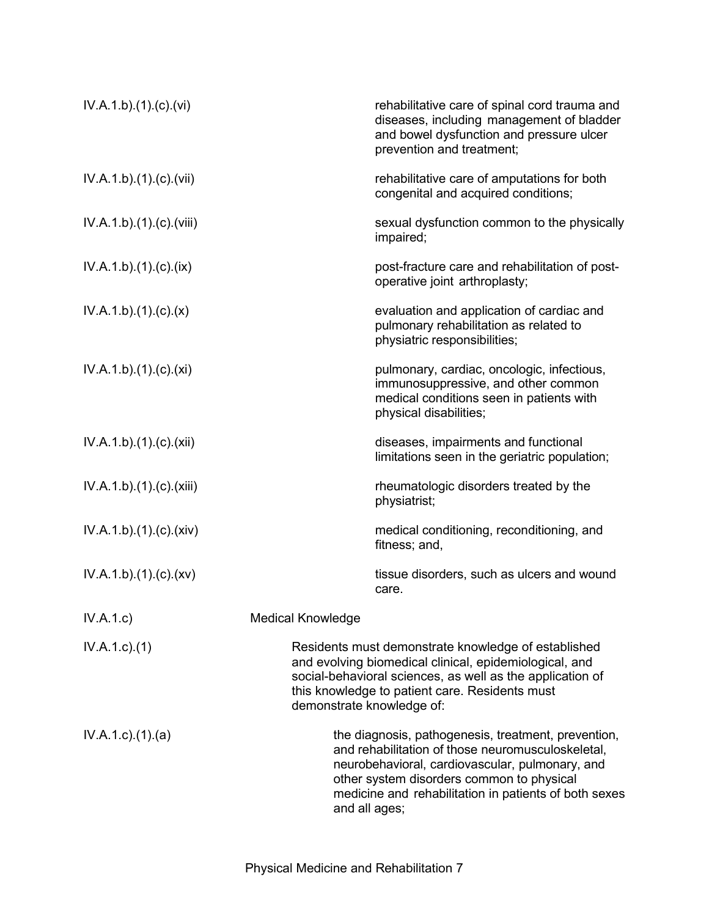| IV.A.1.b)(1)(c)(vi)       | rehabilitative care of spinal cord trauma and<br>diseases, including management of bladder<br>and bowel dysfunction and pressure ulcer<br>prevention and treatment;                                                                                                                |  |
|---------------------------|------------------------------------------------------------------------------------------------------------------------------------------------------------------------------------------------------------------------------------------------------------------------------------|--|
| IV.A.1.b)(1)(c)(vii)      | rehabilitative care of amputations for both<br>congenital and acquired conditions;                                                                                                                                                                                                 |  |
| IV.A.1.b)(1)(c)(viii)     | sexual dysfunction common to the physically<br>impaired;                                                                                                                                                                                                                           |  |
| IV.A.1.b)(1)(c)(ix)       | post-fracture care and rehabilitation of post-<br>operative joint arthroplasty;                                                                                                                                                                                                    |  |
| IV.A.1.b)(1)(c)(x)        | evaluation and application of cardiac and<br>pulmonary rehabilitation as related to<br>physiatric responsibilities;                                                                                                                                                                |  |
| IV.A.1.b)(1)(c)(xi)       | pulmonary, cardiac, oncologic, infectious,<br>immunosuppressive, and other common<br>medical conditions seen in patients with<br>physical disabilities;                                                                                                                            |  |
| IV.A.1.b)(1)(c)(xii)      | diseases, impairments and functional<br>limitations seen in the geriatric population;                                                                                                                                                                                              |  |
| IV.A.1.b)(1)(c)(xiii)     | rheumatologic disorders treated by the<br>physiatrist;                                                                                                                                                                                                                             |  |
| IV.A.1.b)(1)(c)(xiv)      | medical conditioning, reconditioning, and<br>fitness; and,                                                                                                                                                                                                                         |  |
| IV.A.1.b)(1)(c)(xv)       | tissue disorders, such as ulcers and wound<br>care.                                                                                                                                                                                                                                |  |
| IV.A.1.c)                 | <b>Medical Knowledge</b>                                                                                                                                                                                                                                                           |  |
| $IV.A.1.c.$ (1)           | Residents must demonstrate knowledge of established<br>and evolving biomedical clinical, epidemiological, and<br>social-behavioral sciences, as well as the application of<br>this knowledge to patient care. Residents must<br>demonstrate knowledge of:                          |  |
| $IV.A.1.c$ . $(1).$ $(a)$ | the diagnosis, pathogenesis, treatment, prevention,<br>and rehabilitation of those neuromusculoskeletal,<br>neurobehavioral, cardiovascular, pulmonary, and<br>other system disorders common to physical<br>medicine and rehabilitation in patients of both sexes<br>and all ages; |  |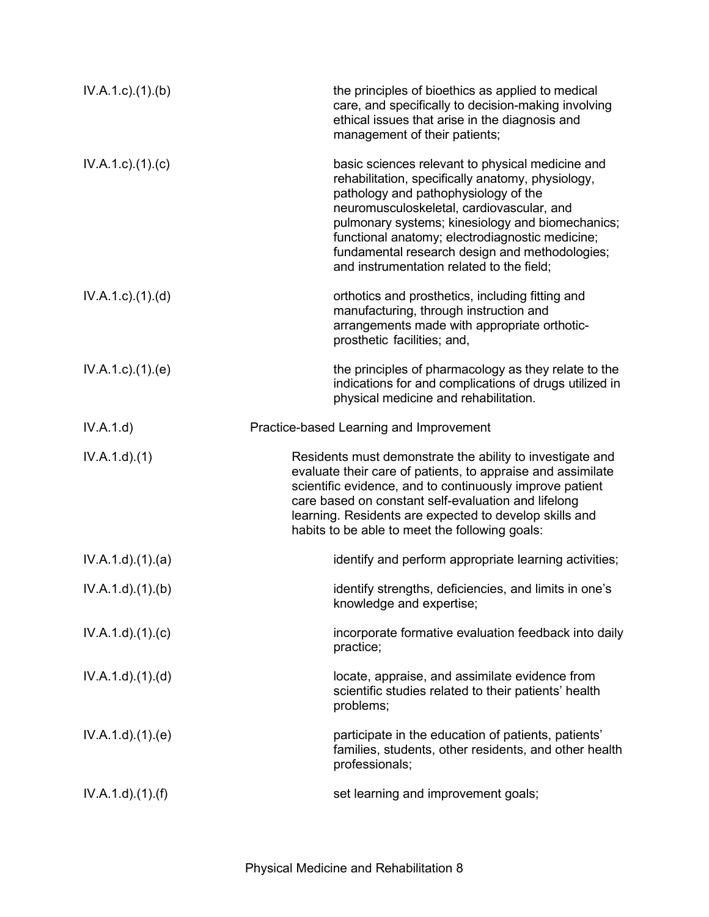| $IV.A.1.c$ . $(1).$ (b)   | the principles of bioethics as applied to medical<br>care, and specifically to decision-making involving<br>ethical issues that arise in the diagnosis and<br>management of their patients;                                                                                                                                                                                                      |
|---------------------------|--------------------------------------------------------------------------------------------------------------------------------------------------------------------------------------------------------------------------------------------------------------------------------------------------------------------------------------------------------------------------------------------------|
| $IV.A.1.c$ ). $(1).$ (c)  | basic sciences relevant to physical medicine and<br>rehabilitation, specifically anatomy, physiology,<br>pathology and pathophysiology of the<br>neuromusculoskeletal, cardiovascular, and<br>pulmonary systems; kinesiology and biomechanics;<br>functional anatomy; electrodiagnostic medicine;<br>fundamental research design and methodologies;<br>and instrumentation related to the field; |
| $IV.A.1.c$ . $(1).$ $(d)$ | orthotics and prosthetics, including fitting and<br>manufacturing, through instruction and<br>arrangements made with appropriate orthotic-<br>prosthetic facilities; and,                                                                                                                                                                                                                        |
| IV.A.1.c.1(1).(e)         | the principles of pharmacology as they relate to the<br>indications for and complications of drugs utilized in<br>physical medicine and rehabilitation.                                                                                                                                                                                                                                          |
| IV.A.1.d)                 | Practice-based Learning and Improvement                                                                                                                                                                                                                                                                                                                                                          |
| IV.A.1.d.(1)              | Residents must demonstrate the ability to investigate and<br>evaluate their care of patients, to appraise and assimilate<br>scientific evidence, and to continuously improve patient<br>care based on constant self-evaluation and lifelong<br>learning. Residents are expected to develop skills and<br>habits to be able to meet the following goals:                                          |
| IV.A.1.d)(1)(a)           | identify and perform appropriate learning activities;                                                                                                                                                                                                                                                                                                                                            |
| IV.A.1.d)(1)(b)           | identify strengths, deficiencies, and limits in one's                                                                                                                                                                                                                                                                                                                                            |
|                           | knowledge and expertise;                                                                                                                                                                                                                                                                                                                                                                         |
| IV.A.1.d)(1)(c)           | incorporate formative evaluation feedback into daily<br>practice;                                                                                                                                                                                                                                                                                                                                |
| IV.A.1.d)(1)(d)           | locate, appraise, and assimilate evidence from<br>scientific studies related to their patients' health<br>problems;                                                                                                                                                                                                                                                                              |
| IV.A.1.d.(1).(e)          | participate in the education of patients, patients'<br>families, students, other residents, and other health<br>professionals;                                                                                                                                                                                                                                                                   |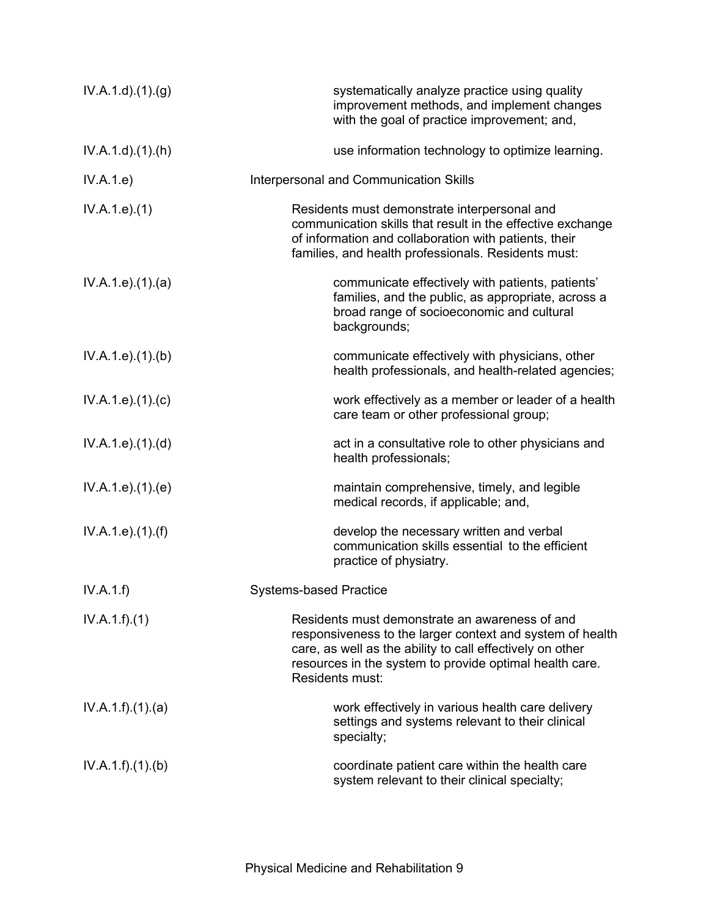| IV.A.1.d.(1). <sub>(g)</sub> | systematically analyze practice using quality<br>improvement methods, and implement changes<br>with the goal of practice improvement; and,                                                                                                             |
|------------------------------|--------------------------------------------------------------------------------------------------------------------------------------------------------------------------------------------------------------------------------------------------------|
| $IV.A.1.d$ . $(1).(h)$       | use information technology to optimize learning.                                                                                                                                                                                                       |
| IV.A.1.e)                    | Interpersonal and Communication Skills                                                                                                                                                                                                                 |
| IV.A.1.e. (1)                | Residents must demonstrate interpersonal and<br>communication skills that result in the effective exchange<br>of information and collaboration with patients, their<br>families, and health professionals. Residents must:                             |
| IV.A.1.e. (1). (a)           | communicate effectively with patients, patients'<br>families, and the public, as appropriate, across a<br>broad range of socioeconomic and cultural<br>backgrounds;                                                                                    |
| IV.A.1.e. (1)(b)             | communicate effectively with physicians, other<br>health professionals, and health-related agencies;                                                                                                                                                   |
| IV.A.1.e. (1). (c)           | work effectively as a member or leader of a health<br>care team or other professional group;                                                                                                                                                           |
| IV.A.1.e. (1). (d)           | act in a consultative role to other physicians and<br>health professionals;                                                                                                                                                                            |
| IV.A.1.e. (1). (e)           | maintain comprehensive, timely, and legible<br>medical records, if applicable; and,                                                                                                                                                                    |
| IV.A.1.e. (1). (f)           | develop the necessary written and verbal<br>communication skills essential to the efficient<br>practice of physiatry.                                                                                                                                  |
| IV.A.1.f)                    | <b>Systems-based Practice</b>                                                                                                                                                                                                                          |
| IV.A.1.f)(1)                 | Residents must demonstrate an awareness of and<br>responsiveness to the larger context and system of health<br>care, as well as the ability to call effectively on other<br>resources in the system to provide optimal health care.<br>Residents must: |
| IV.A.1.f)(1)(a)              | work effectively in various health care delivery<br>settings and systems relevant to their clinical<br>specialty;                                                                                                                                      |
| IV.A.1.f)(1)(b)              | coordinate patient care within the health care<br>system relevant to their clinical specialty;                                                                                                                                                         |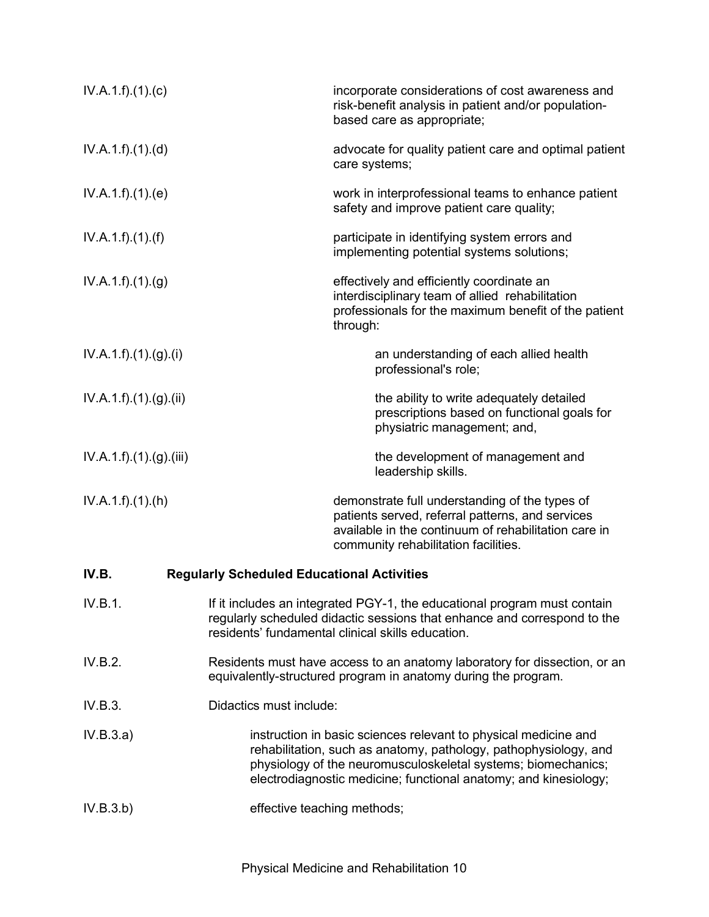| IV.A.1.f)(1)(c)         |                                                   | incorporate considerations of cost awareness and<br>risk-benefit analysis in patient and/or population-<br>based care as appropriate;                                                                                                                                    |
|-------------------------|---------------------------------------------------|--------------------------------------------------------------------------------------------------------------------------------------------------------------------------------------------------------------------------------------------------------------------------|
| IV.A.1.f)(1)(d)         |                                                   | advocate for quality patient care and optimal patient<br>care systems;                                                                                                                                                                                                   |
| IV.A.1.f)(1)(e)         |                                                   | work in interprofessional teams to enhance patient<br>safety and improve patient care quality;                                                                                                                                                                           |
| IV.A.1.f).(1).(f)       |                                                   | participate in identifying system errors and<br>implementing potential systems solutions;                                                                                                                                                                                |
| IV.A.1.f)(1)(g)         |                                                   | effectively and efficiently coordinate an<br>interdisciplinary team of allied rehabilitation<br>professionals for the maximum benefit of the patient<br>through:                                                                                                         |
| IV.A.1.f).(1).(g).(i)   |                                                   | an understanding of each allied health<br>professional's role;                                                                                                                                                                                                           |
| IV.A.1.f)(1)(g)(ii)     |                                                   | the ability to write adequately detailed<br>prescriptions based on functional goals for<br>physiatric management; and,                                                                                                                                                   |
| IV.A.1.f).(1).(g).(iii) |                                                   | the development of management and<br>leadership skills.                                                                                                                                                                                                                  |
| IV.A.1.f)(1)(h)         |                                                   | demonstrate full understanding of the types of<br>patients served, referral patterns, and services<br>available in the continuum of rehabilitation care in<br>community rehabilitation facilities.                                                                       |
| IV.B.                   | <b>Regularly Scheduled Educational Activities</b> |                                                                                                                                                                                                                                                                          |
| IV.B.1.                 |                                                   | If it includes an integrated PGY-1, the educational program must contain<br>regularly scheduled didactic sessions that enhance and correspond to the<br>residents' fundamental clinical skills education.                                                                |
| IV.B.2.                 |                                                   | Residents must have access to an anatomy laboratory for dissection, or an<br>equivalently-structured program in anatomy during the program.                                                                                                                              |
| IV.B.3.                 | Didactics must include:                           |                                                                                                                                                                                                                                                                          |
| IV.B.3.a)               |                                                   | instruction in basic sciences relevant to physical medicine and<br>rehabilitation, such as anatomy, pathology, pathophysiology, and<br>physiology of the neuromusculoskeletal systems; biomechanics;<br>electrodiagnostic medicine; functional anatomy; and kinesiology; |
| IV.B.3.b)               | effective teaching methods;                       |                                                                                                                                                                                                                                                                          |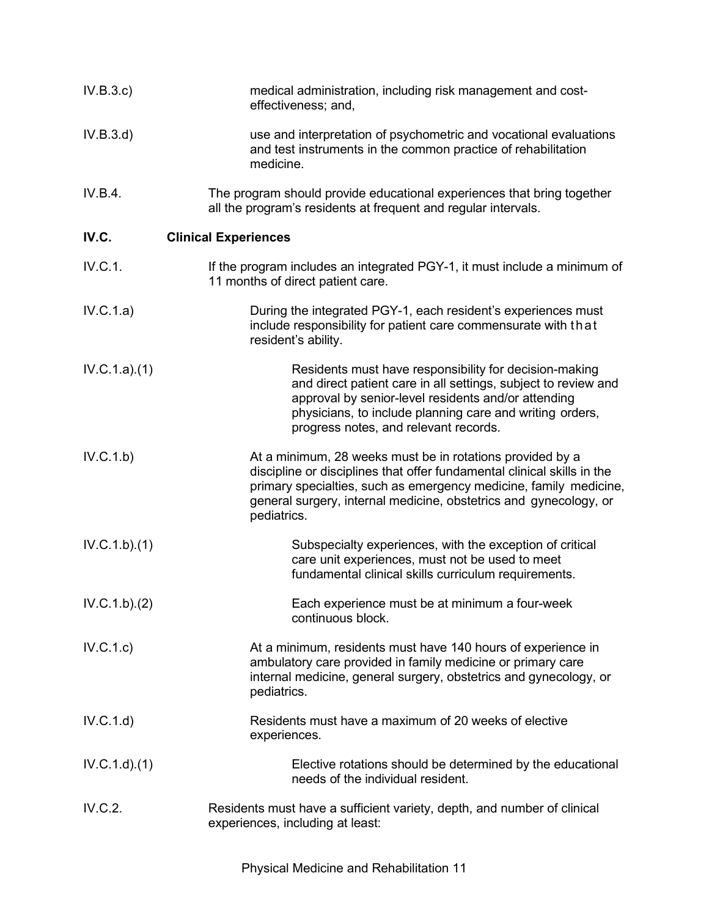| IV.B.3.c     | medical administration, including risk management and cost-<br>effectiveness; and,                                                                                                                                                                                                            |
|--------------|-----------------------------------------------------------------------------------------------------------------------------------------------------------------------------------------------------------------------------------------------------------------------------------------------|
| IV.B.3.d)    | use and interpretation of psychometric and vocational evaluations<br>and test instruments in the common practice of rehabilitation<br>medicine.                                                                                                                                               |
| IV.B.4.      | The program should provide educational experiences that bring together<br>all the program's residents at frequent and regular intervals.                                                                                                                                                      |
| IV.C.        | <b>Clinical Experiences</b>                                                                                                                                                                                                                                                                   |
| IV.C.1.      | If the program includes an integrated PGY-1, it must include a minimum of<br>11 months of direct patient care.                                                                                                                                                                                |
| IV.C.1.a)    | During the integrated PGY-1, each resident's experiences must<br>include responsibility for patient care commensurate with that<br>resident's ability.                                                                                                                                        |
| IV.C.1.a)(1) | Residents must have responsibility for decision-making<br>and direct patient care in all settings, subject to review and<br>approval by senior-level residents and/or attending<br>physicians, to include planning care and writing orders,<br>progress notes, and relevant records.          |
| IV.C.1.b)    | At a minimum, 28 weeks must be in rotations provided by a<br>discipline or disciplines that offer fundamental clinical skills in the<br>primary specialties, such as emergency medicine, family medicine,<br>general surgery, internal medicine, obstetrics and gynecology, or<br>pediatrics. |
| IV.C.1.b)(1) | Subspecialty experiences, with the exception of critical<br>care unit experiences, must not be used to meet<br>fundamental clinical skills curriculum requirements.                                                                                                                           |
| IV.C.1.b)(2) | Each experience must be at minimum a four-week<br>continuous block.                                                                                                                                                                                                                           |
| IV.C.1.c)    | At a minimum, residents must have 140 hours of experience in<br>ambulatory care provided in family medicine or primary care<br>internal medicine, general surgery, obstetrics and gynecology, or<br>pediatrics.                                                                               |
| IV.C.1.d)    | Residents must have a maximum of 20 weeks of elective<br>experiences.                                                                                                                                                                                                                         |
| IV.C.1.d.(1) | Elective rotations should be determined by the educational<br>needs of the individual resident.                                                                                                                                                                                               |
| IV.C.2.      | Residents must have a sufficient variety, depth, and number of clinical<br>experiences, including at least:                                                                                                                                                                                   |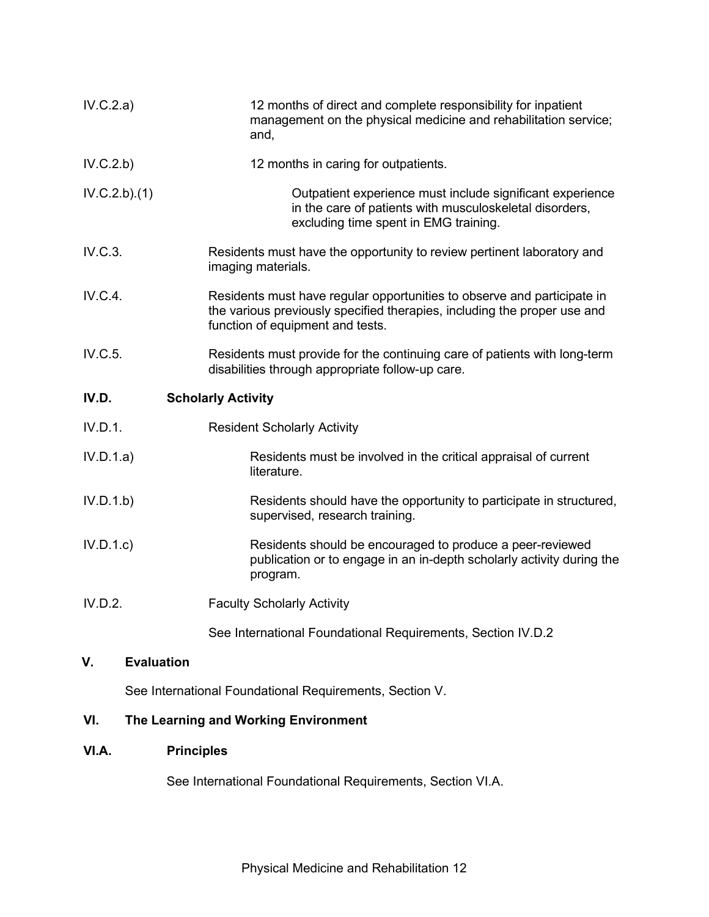| IV.C.2.a)    | 12 months of direct and complete responsibility for inpatient<br>management on the physical medicine and rehabilitation service;<br>and,                                                |
|--------------|-----------------------------------------------------------------------------------------------------------------------------------------------------------------------------------------|
| IV.C.2.b)    | 12 months in caring for outpatients.                                                                                                                                                    |
| IV.C.2.b)(1) | Outpatient experience must include significant experience<br>in the care of patients with musculoskeletal disorders,<br>excluding time spent in EMG training.                           |
| IV.C.3.      | Residents must have the opportunity to review pertinent laboratory and<br>imaging materials.                                                                                            |
| IV.C.4.      | Residents must have regular opportunities to observe and participate in<br>the various previously specified therapies, including the proper use and<br>function of equipment and tests. |
| IV.C.5.      | Residents must provide for the continuing care of patients with long-term<br>disabilities through appropriate follow-up care.                                                           |
| IV.D.        | <b>Scholarly Activity</b>                                                                                                                                                               |
| IV.D.1.      | <b>Resident Scholarly Activity</b>                                                                                                                                                      |
| IV.D.1.a)    | Residents must be involved in the critical appraisal of current<br>literature.                                                                                                          |
| IV.D.1.b)    | Residents should have the opportunity to participate in structured,<br>supervised, research training.                                                                                   |
| IV.D.1.c     | Residents should be encouraged to produce a peer-reviewed<br>publication or to engage in an in-depth scholarly activity during the<br>program.                                          |
| IV.D.2.      | <b>Faculty Scholarly Activity</b>                                                                                                                                                       |
|              | See International Foundational Requirements, Section IV.D.2                                                                                                                             |

# **V. Evaluation**

See International Foundational Requirements, Section V.

# **VI. The Learning and Working Environment**

## **VI.A. Principles**

See International Foundational Requirements, Section VI.A.